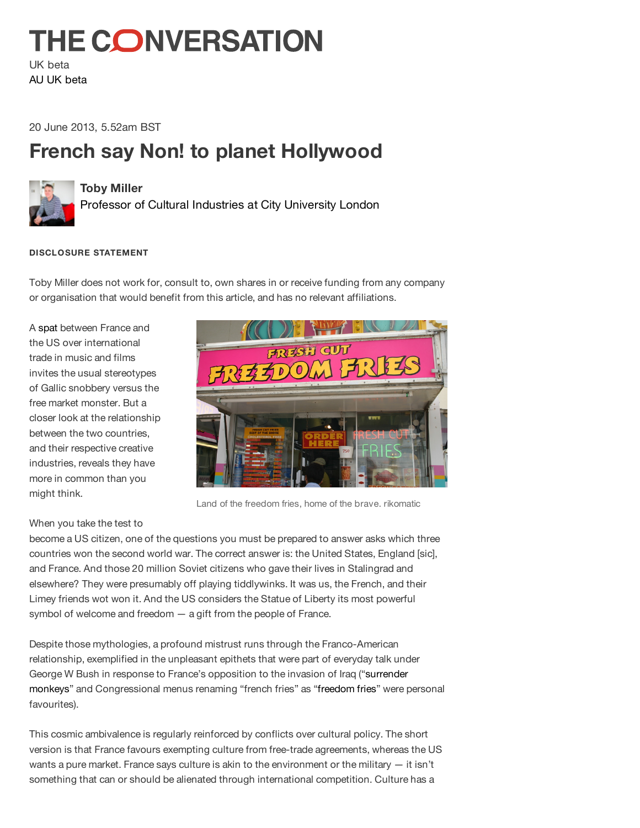# **THE CONVERSATION**

UK beta AU UK beta

20 June 2013, 5.52am BST

## **French say Non! to planet Hollywood**



#### **Toby Miller**

Professor of Cultural Industries at City University London

#### **DISCLOSURE STATEMENT**

Toby Miller does not work for, consult to, own shares in or receive funding from any company or organisation that would benefit from this article, and has no relevant affiliations.

A spat between France and the US over international trade in music and films invites the usual stereotypes of Gallic snobbery versus the free market monster. But a closer look at the relationship between the two countries, and their respective creative industries, reveals they have more in common than you might think.



Land of the freedom fries, home of the brave. rikomatic

### When you take the test to

become a US citizen, one of the questions you must be prepared to answer asks which three countries won the second world war. The correct answer is: the United States, England [sic], and France. And those 20 million Soviet citizens who gave their lives in Stalingrad and elsewhere? They were presumably off playing tiddlywinks. It was us, the French, and their Limey friends wot won it. And the US considers the Statue of Liberty its most powerful symbol of welcome and freedom — a gift from the people of France.

Despite those mythologies, a profound mistrust runs through the Franco-American relationship, exemplified in the unpleasant epithets that were part of everyday talk under George W Bush in response to France's opposition to the invasion of Iraq ("surrender monkeys" and Congressional menus renaming "french fries" as "freedom fries" were personal favourites).

This cosmic ambivalence is regularly reinforced by conflicts over cultural policy. The short version is that France favours exempting culture from free-trade agreements, whereas the US wants a pure market. France says culture is akin to the environment or the military — it isn't something that can or should be alienated through international competition. Culture has a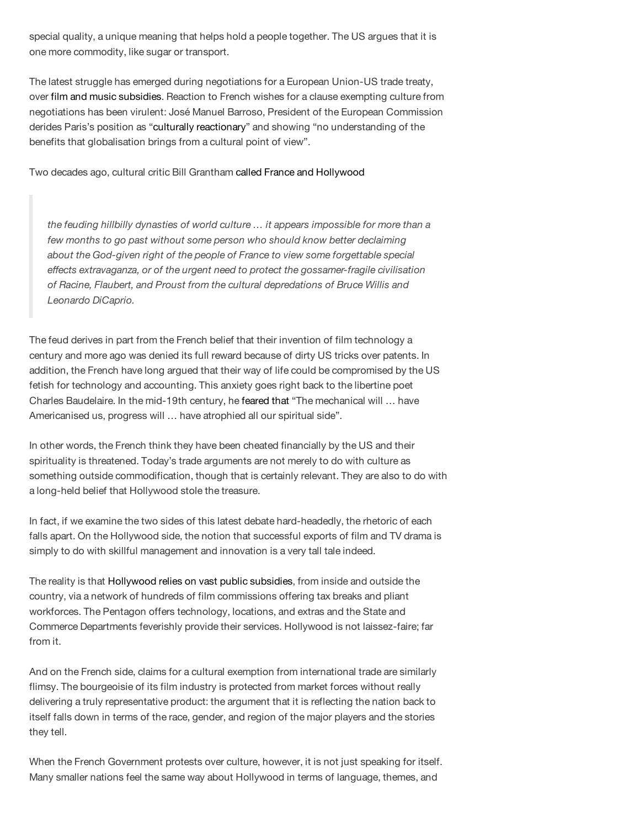special quality, a unique meaning that helps hold a people together. The US argues that it is one more commodity, like sugar or transport.

The latest struggle has emerged during negotiations for a European Union-US trade treaty, over film and music subsidies. Reaction to French wishes for a clause exempting culture from negotiations has been virulent: José Manuel Barroso, President of the European Commission derides Paris's position as "culturally reactionary" and showing "no understanding of the benefits that globalisation brings from a cultural point of view".

Two decades ago, cultural critic Bill Grantham called France and Hollywood

*the feuding hillbilly dynasties of world culture … it appears impossible for more than a few months to go past without some person who should know better declaiming about the God-given right of the people of France to view some forgettable special effects extravaganza, or of the urgent need to protect the gossamer-fragile civilisation of Racine, Flaubert, and Proust from the cultural depredations of Bruce Willis and Leonardo DiCaprio.*

The feud derives in part from the French belief that their invention of film technology a century and more ago was denied its full reward because of dirty US tricks over patents. In addition, the French have long argued that their way of life could be compromised by the US fetish for technology and accounting. This anxiety goes right back to the libertine poet Charles Baudelaire. In the mid-19th century, he feared that "The mechanical will … have Americanised us, progress will … have atrophied all our spiritual side".

In other words, the French think they have been cheated financially by the US and their spirituality is threatened. Today's trade arguments are not merely to do with culture as something outside commodification, though that is certainly relevant. They are also to do with a long-held belief that Hollywood stole the treasure.

In fact, if we examine the two sides of this latest debate hard-headedly, the rhetoric of each falls apart. On the Hollywood side, the notion that successful exports of film and TV drama is simply to do with skillful management and innovation is a very tall tale indeed.

The reality is that Hollywood relies on vast public subsidies, from inside and outside the country, via a network of hundreds of film commissions offering tax breaks and pliant workforces. The Pentagon offers technology, locations, and extras and the State and Commerce Departments feverishly provide their services. Hollywood is not laissez-faire; far from it.

And on the French side, claims for a cultural exemption from international trade are similarly flimsy. The bourgeoisie of its film industry is protected from market forces without really delivering a truly representative product: the argument that it is reflecting the nation back to itself falls down in terms of the race, gender, and region of the major players and the stories they tell.

When the French Government protests over culture, however, it is not just speaking for itself. Many smaller nations feel the same way about Hollywood in terms of language, themes, and